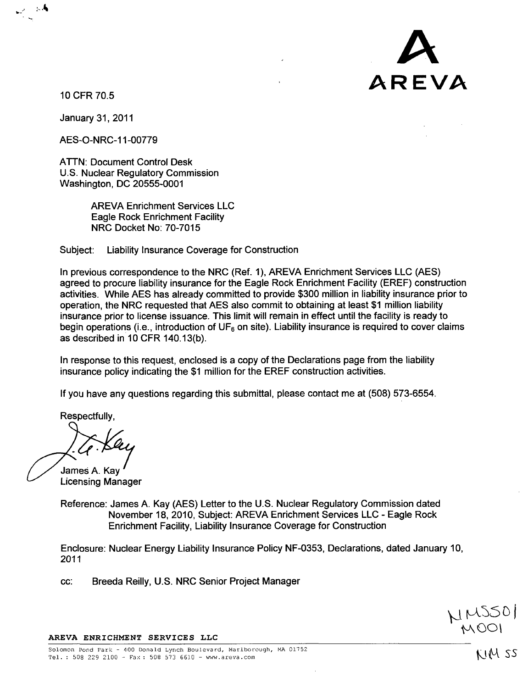10 CFR 70.5

 $\sim$  4

January 31, 2011

AES-O-NRC-1 1-00779

ATTN: Document Control Desk U.S. Nuclear Regulatory Commission Washington, DC 20555-0001

> AREVA Enrichment Services LLC Eagle Rock Enrichment Facility NRC Docket No: 70-7015

Subject: Liability Insurance Coverage for Construction

In previous correspondence to the NRC (Ref. 1), AREVA Enrichment Services LLC (AES) agreed to procure liability insurance for the Eagle Rock Enrichment Facility (EREF) construction activities. While AES has already committed to provide \$300 million in liability insurance prior to operation, the NRC requested that AES also commit to obtaining at least \$1 million liability insurance prior to license issuance. This limit will remain in effect until the facility is ready to begin operations (i.e., introduction of  $UF<sub>6</sub>$  on site). Liability insurance is required to cover claims as described in 10 CFR 140.13(b).

In response to this request, enclosed is a copy of the Declarations page from the liability insurance policy indicating the \$1 million for the EREF construction activities.

If you have any questions regarding this submittal, please contact me at (508) 573-6554.

Respectfully,

James **A.** Kay Licensing Manager

Reference: James A. Kay (AES) Letter to the U.S. Nuclear Regulatory Commission dated November 18, 2010, Subject: AREVA Enrichment Services LLC - Eagle Rock Enrichment Facility, Liability Insurance Coverage for Construction

Enclosure: Nuclear Energy Liability Insurance Policy NF-0353, Declarations, dated January 10, 2011

cc: Breeda Reilly, U.S. NRC Senior Project Manager

## AREVA ENRICHMENT SERVICES **LLC**

IM SS

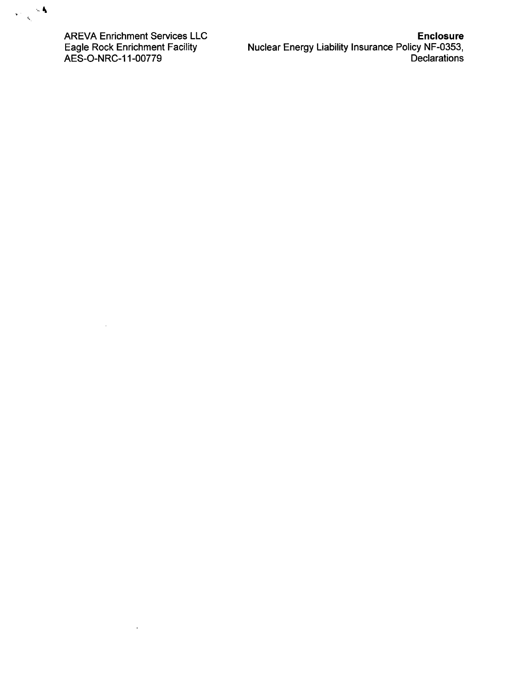

AREVA Enrichment Services LLC Eagle Rock Enrichment Facility AES-O-NRC-1 1-00779

 $\mathcal{A}^{\mathcal{A}}$ 

t,

Enclosure Nuclear Energy Liability Insurance Policy NF-0353, Declarations